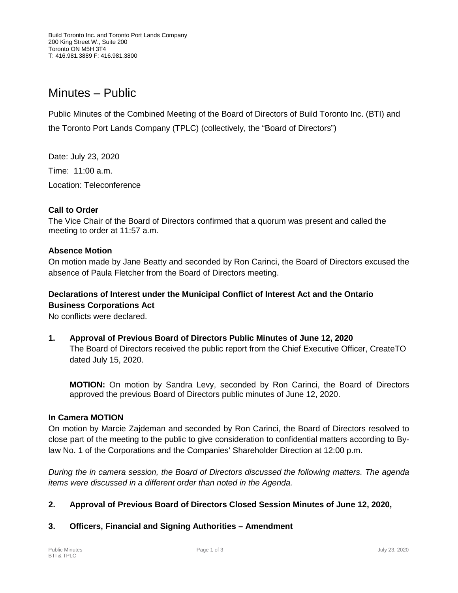# Minutes – Public

Public Minutes of the Combined Meeting of the Board of Directors of Build Toronto Inc. (BTI) and the Toronto Port Lands Company (TPLC) (collectively, the "Board of Directors")

Date: July 23, 2020 Time: 11:00 a.m. Location: Teleconference

## **Call to Order**

The Vice Chair of the Board of Directors confirmed that a quorum was present and called the meeting to order at 11:57 a.m.

#### **Absence Motion**

On motion made by Jane Beatty and seconded by Ron Carinci, the Board of Directors excused the absence of Paula Fletcher from the Board of Directors meeting.

## **Declarations of Interest under the Municipal Conflict of Interest Act and the Ontario Business Corporations Act**

No conflicts were declared.

**1. Approval of Previous Board of Directors Public Minutes of June 12, 2020** The Board of Directors received the public report from the Chief Executive Officer, CreateTO dated July 15, 2020.

**MOTION:** On motion by Sandra Levy, seconded by Ron Carinci, the Board of Directors approved the previous Board of Directors public minutes of June 12, 2020.

#### **In Camera MOTION**

On motion by Marcie Zajdeman and seconded by Ron Carinci, the Board of Directors resolved to close part of the meeting to the public to give consideration to confidential matters according to Bylaw No. 1 of the Corporations and the Companies' Shareholder Direction at 12:00 p.m.

*During the in camera session, the Board of Directors discussed the following matters. The agenda items were discussed in a different order than noted in the Agenda.*

# **2. Approval of Previous Board of Directors Closed Session Minutes of June 12, 2020,**

# **3. Officers, Financial and Signing Authorities – Amendment**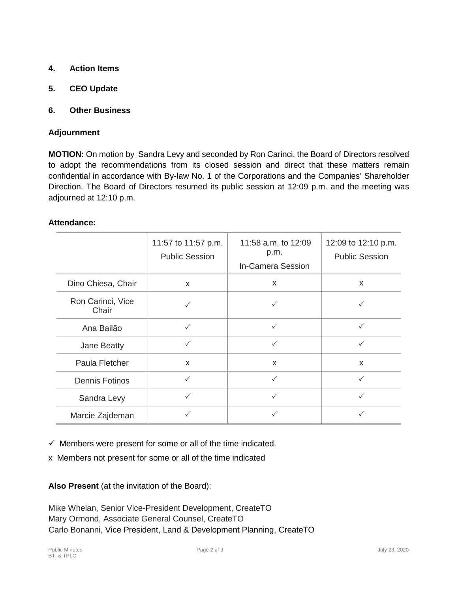- **4. Action Items**
- **5. CEO Update**
- **6. Other Business**

#### **Adjournment**

**MOTION:** On motion by Sandra Levy and seconded by Ron Carinci, the Board of Directors resolved to adopt the recommendations from its closed session and direct that these matters remain confidential in accordance with By-law No. 1 of the Corporations and the Companies' Shareholder Direction. The Board of Directors resumed its public session at 12:09 p.m. and the meeting was adjourned at 12:10 p.m.

#### **Attendance:**

|                            | 11:57 to 11:57 p.m.<br><b>Public Session</b> | 11:58 a.m. to 12:09<br>p.m.<br><b>In-Camera Session</b> | 12:09 to 12:10 p.m.<br><b>Public Session</b> |
|----------------------------|----------------------------------------------|---------------------------------------------------------|----------------------------------------------|
| Dino Chiesa, Chair         | $\mathsf{x}$                                 | $\mathsf{x}$                                            | $\mathsf{x}$                                 |
| Ron Carinci, Vice<br>Chair |                                              | ✓                                                       | ✓                                            |
| Ana Bailão                 | ✓                                            | $\checkmark$                                            | $\checkmark$                                 |
| Jane Beatty                | $\checkmark$                                 | $\checkmark$                                            | $\checkmark$                                 |
| Paula Fletcher             | $\mathsf{x}$                                 | $\mathsf{x}$                                            | $\mathsf{x}$                                 |
| <b>Dennis Fotinos</b>      | $\checkmark$                                 | $\checkmark$                                            | $\checkmark$                                 |
| Sandra Levy                | $\checkmark$                                 | $\checkmark$                                            | $\checkmark$                                 |
| Marcie Zajdeman            | $\checkmark$                                 | ✓                                                       | $\checkmark$                                 |

 $\checkmark$  Members were present for some or all of the time indicated.

x Members not present for some or all of the time indicated

**Also Present** (at the invitation of the Board):

Mike Whelan, Senior Vice-President Development, CreateTO Mary Ormond, Associate General Counsel, CreateTO Carlo Bonanni, Vice President, Land & Development Planning, CreateTO